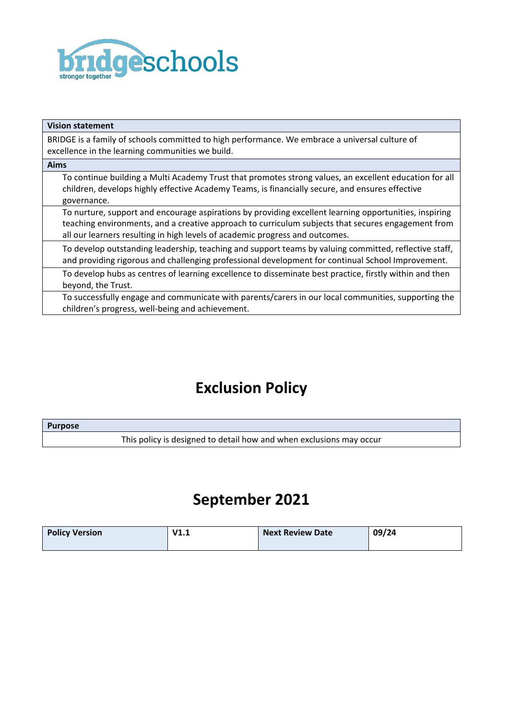

| <b>Vision statement</b>                                                                                                                                                                                                                                                                      |
|----------------------------------------------------------------------------------------------------------------------------------------------------------------------------------------------------------------------------------------------------------------------------------------------|
| BRIDGE is a family of schools committed to high performance. We embrace a universal culture of<br>excellence in the learning communities we build.                                                                                                                                           |
| <b>Aims</b>                                                                                                                                                                                                                                                                                  |
| To continue building a Multi Academy Trust that promotes strong values, an excellent education for all<br>children, develops highly effective Academy Teams, is financially secure, and ensures effective<br>governance.                                                                     |
| To nurture, support and encourage aspirations by providing excellent learning opportunities, inspiring<br>teaching environments, and a creative approach to curriculum subjects that secures engagement from<br>all our learners resulting in high levels of academic progress and outcomes. |
| To develop outstanding leadership, teaching and support teams by valuing committed, reflective staff,<br>and providing rigorous and challenging professional development for continual School Improvement.                                                                                   |
| To develop hubs as centres of learning excellence to disseminate best practice, firstly within and then<br>beyond, the Trust.                                                                                                                                                                |
| To successfully engage and communicate with parents/carers in our local communities, supporting the<br>children's progress, well-being and achievement.                                                                                                                                      |

# **Exclusion Policy**

| <b>Purpose</b> |                                                                     |
|----------------|---------------------------------------------------------------------|
|                | This policy is designed to detail how and when exclusions may occur |

## **September 2021**

| <b>Policy Version</b> | V1.1 | <b>Next Review Date</b> | 09/24 |
|-----------------------|------|-------------------------|-------|
|                       |      |                         |       |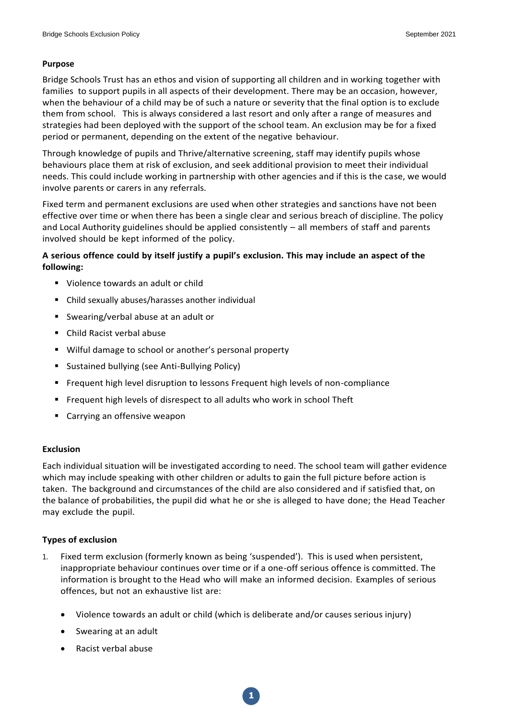#### **Purpose**

Bridge Schools Trust has an ethos and vision of supporting all children and in working together with families to support pupils in all aspects of their development. There may be an occasion, however, when the behaviour of a child may be of such a nature or severity that the final option is to exclude them from school. This is always considered a last resort and only after a range of measures and strategies had been deployed with the support of the school team. An exclusion may be for a fixed period or permanent, depending on the extent of the negative behaviour.

Through knowledge of pupils and Thrive/alternative screening, staff may identify pupils whose behaviours place them at risk of exclusion, and seek additional provision to meet their individual needs. This could include working in partnership with other agencies and if this is the case, we would involve parents or carers in any referrals.

Fixed term and permanent exclusions are used when other strategies and sanctions have not been effective over time or when there has been a single clear and serious breach of discipline. The policy and Local Authority guidelines should be applied consistently – all members of staff and parents involved should be kept informed of the policy.

## **A serious offence could by itself justify a pupil's exclusion. This may include an aspect of the following:**

- Violence towards an adult or child
- Child sexually abuses/harasses another individual
- Swearing/verbal abuse at an adult or
- Child Racist verbal abuse
- **Wilful damage to school or another's personal property**
- **Sustained bullying (see Anti-Bullying Policy)**
- **Figuent high level disruption to lessons Frequent high levels of non-compliance**
- Frequent high levels of disrespect to all adults who work in school Theft
- Carrying an offensive weapon

## **Exclusion**

Each individual situation will be investigated according to need. The school team will gather evidence which may include speaking with other children or adults to gain the full picture before action is taken. The background and circumstances of the child are also considered and if satisfied that, on the balance of probabilities, the pupil did what he or she is alleged to have done; the Head Teacher may exclude the pupil.

## **Types of exclusion**

- 1. Fixed term exclusion (formerly known as being 'suspended'). This is used when persistent, inappropriate behaviour continues over time or if a one-off serious offence is committed. The information is brought to the Head who will make an informed decision. Examples of serious offences, but not an exhaustive list are:
	- Violence towards an adult or child (which is deliberate and/or causes serious injury)

**1**

- Swearing at an adult
- Racist verbal abuse